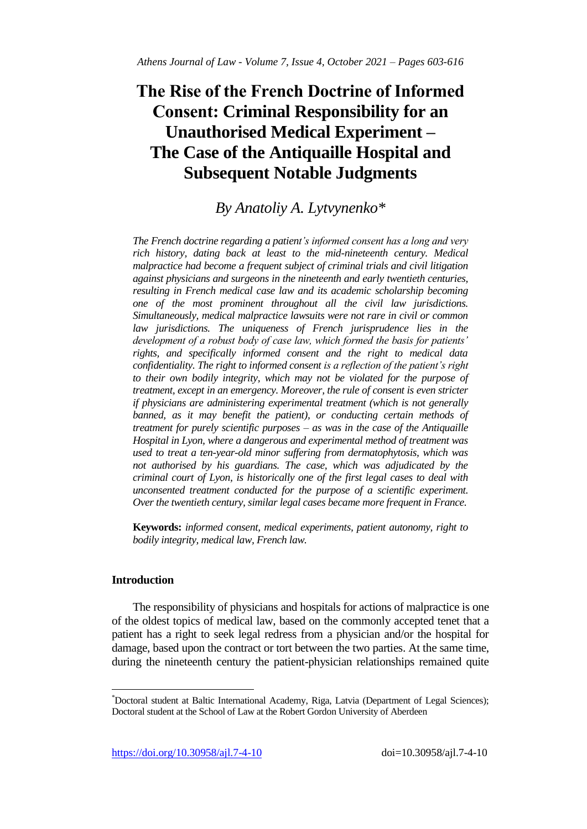# **The Rise of the French Doctrine of Informed Consent: Criminal Responsibility for an Unauthorised Medical Experiment – The Case of the Antiquaille Hospital and Subsequent Notable Judgments**

## *By Anatoliy A. Lytvynenko\**

*The French doctrine regarding a patient's informed consent has a long and very rich history, dating back at least to the mid-nineteenth century. Medical malpractice had become a frequent subject of criminal trials and civil litigation against physicians and surgeons in the nineteenth and early twentieth centuries, resulting in French medical case law and its academic scholarship becoming one of the most prominent throughout all the civil law jurisdictions. Simultaneously, medical malpractice lawsuits were not rare in civil or common*  law *jurisdictions. The uniqueness of French jurisprudence lies in the development of a robust body of case law, which formed the basis for patients' rights, and specifically informed consent and the right to medical data confidentiality. The right to informed consent is a reflection of the patient's right to their own bodily integrity, which may not be violated for the purpose of treatment, except in an emergency. Moreover, the rule of consent is even stricter if physicians are administering experimental treatment (which is not generally*  banned, as it may benefit the patient), or conducting certain methods of *treatment for purely scientific purposes – as was in the case of the Antiquaille Hospital in Lyon, where a dangerous and experimental method of treatment was used to treat a ten-year-old minor suffering from dermatophytosis, which was not authorised by his guardians. The case, which was adjudicated by the criminal court of Lyon, is historically one of the first legal cases to deal with unconsented treatment conducted for the purpose of a scientific experiment. Over the twentieth century, similar legal cases became more frequent in France.* 

**Keywords:** *informed consent, medical experiments, patient autonomy, right to bodily integrity, medical law, French law.*

### **Introduction**

 $\overline{\phantom{a}}$ 

The responsibility of physicians and hospitals for actions of malpractice is one of the oldest topics of medical law, based on the commonly accepted tenet that a patient has a right to seek legal redress from a physician and/or the hospital for damage, based upon the contract or tort between the two parties. At the same time, during the nineteenth century the patient-physician relationships remained quite

<sup>\*</sup>Doctoral student at Baltic International Academy, Riga, Latvia (Department of Legal Sciences); Doctoral student at the School of Law at the Robert Gordon University of Aberdeen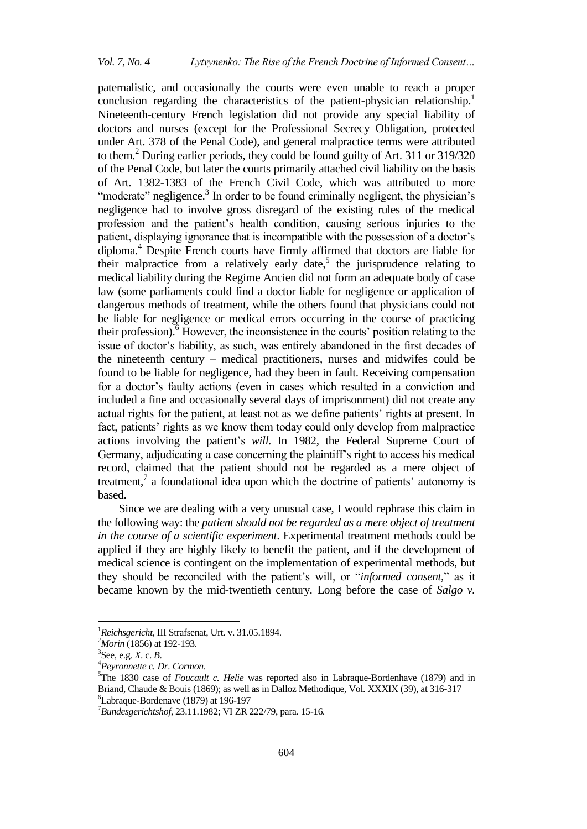paternalistic, and occasionally the courts were even unable to reach a proper conclusion regarding the characteristics of the patient-physician relationship.<sup>1</sup> Nineteenth-century French legislation did not provide any special liability of doctors and nurses (except for the Professional Secrecy Obligation, protected under Art. 378 of the Penal Code), and general malpractice terms were attributed to them.<sup>2</sup> During earlier periods, they could be found guilty of Art. 311 or 319/320 of the Penal Code, but later the courts primarily attached civil liability on the basis of Art. 1382-1383 of the French Civil Code, which was attributed to more "moderate" negligence.<sup>3</sup> In order to be found criminally negligent, the physician's negligence had to involve gross disregard of the existing rules of the medical profession and the patient"s health condition, causing serious injuries to the patient, displaying ignorance that is incompatible with the possession of a doctor"s diploma.<sup>4</sup> Despite French courts have firmly affirmed that doctors are liable for their malpractice from a relatively early date,<sup>5</sup> the jurisprudence relating to medical liability during the Regime Ancien did not form an adequate body of case law (some parliaments could find a doctor liable for negligence or application of dangerous methods of treatment, while the others found that physicians could not be liable for negligence or medical errors occurring in the course of practicing their profession).<sup>6</sup> However, the inconsistence in the courts' position relating to the issue of doctor's liability, as such, was entirely abandoned in the first decades of the nineteenth century – medical practitioners, nurses and midwifes could be found to be liable for negligence, had they been in fault. Receiving compensation for a doctor's faulty actions (even in cases which resulted in a conviction and included a fine and occasionally several days of imprisonment) did not create any actual rights for the patient, at least not as we define patients' rights at present. In fact, patients' rights as we know them today could only develop from malpractice actions involving the patient's *will*. In 1982, the Federal Supreme Court of Germany, adjudicating a case concerning the plaintiff's right to access his medical record, claimed that the patient should not be regarded as a mere object of treatment, $^7$  a foundational idea upon which the doctrine of patients' autonomy is based.

Since we are dealing with a very unusual case, I would rephrase this claim in the following way: the *patient should not be regarded as a mere object of treatment in the course of a scientific experiment*. Experimental treatment methods could be applied if they are highly likely to benefit the patient, and if the development of medical science is contingent on the implementation of experimental methods, but they should be reconciled with the patient"s will, or "*informed consent,*" as it became known by the mid-twentieth century. Long before the case of *Salgo v.* 

<sup>1</sup>*Reichsgericht*, III Strafsenat, Urt. v. 31.05.1894.

<sup>2</sup>*Morin* (1856) at 192-193.

<sup>3</sup> See, e.g*. X*. c. *B*.

<sup>4</sup>*Peyronnette c. Dr. Cormon*.

<sup>&</sup>lt;sup>5</sup>The 1830 case of *Foucault c. Helie* was reported also in Labraque-Bordenhave (1879) and in Briand, Chaude & Bouis (1869); as well as in Dalloz Methodique, Vol. XXXIX (39), at 316-317 <sup>6</sup>Labraque-Bordenave (1879) at 196-197

<sup>7</sup>*Bundesgerichtshof,* 23.11.1982; VI ZR 222/79, para. 15-16*.*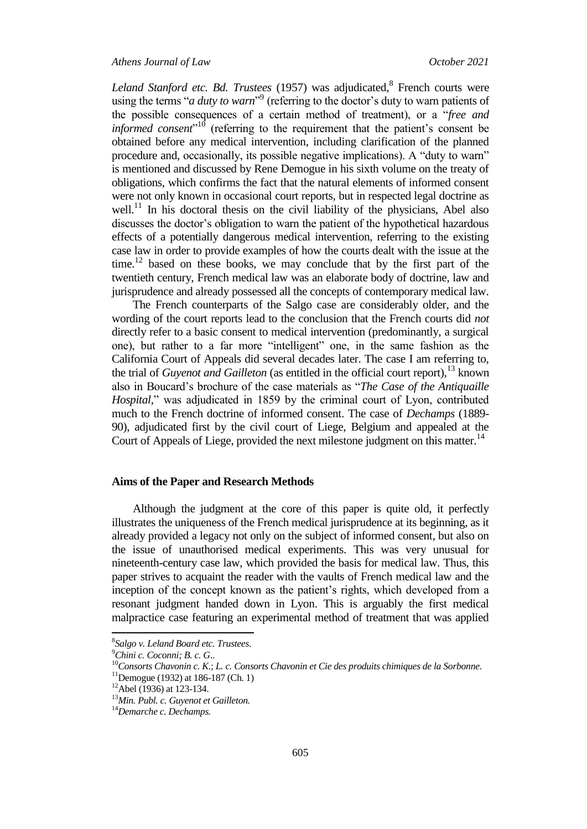Leland Stanford etc. Bd. Trustees (1957) was adjudicated, <sup>8</sup> French courts were using the terms "*a duty to warn*"<sup>9</sup> (referring to the doctor's duty to warn patients of the possible consequences of a certain method of treatment), or a "*free and informed consent*<sup>"10</sup> (referring to the requirement that the patient's consent be obtained before any medical intervention, including clarification of the planned procedure and, occasionally, its possible negative implications). A "duty to warn" is mentioned and discussed by Rene Demogue in his sixth volume on the treaty of obligations, which confirms the fact that the natural elements of informed consent were not only known in occasional court reports, but in respected legal doctrine as well.<sup>11</sup> In his doctoral thesis on the civil liability of the physicians, Abel also discusses the doctor's obligation to warn the patient of the hypothetical hazardous effects of a potentially dangerous medical intervention, referring to the existing case law in order to provide examples of how the courts dealt with the issue at the time.<sup>12</sup> based on these books, we may conclude that by the first part of the twentieth century, French medical law was an elaborate body of doctrine, law and jurisprudence and already possessed all the concepts of contemporary medical law.

The French counterparts of the Salgo case are considerably older, and the wording of the court reports lead to the conclusion that the French courts did *not* directly refer to a basic consent to medical intervention (predominantly, a surgical one), but rather to a far more "intelligent" one, in the same fashion as the California Court of Appeals did several decades later. The case I am referring to, the trial of *Guyenot and Gailleton* (as entitled in the official court report), <sup>13</sup> known also in Boucard"s brochure of the case materials as "*The Case of the Antiquaille Hospital,*" was adjudicated in 1859 by the criminal court of Lyon, contributed much to the French doctrine of informed consent. The case of *Dechamps* (1889- 90), adjudicated first by the civil court of Liege, Belgium and appealed at the Court of Appeals of Liege, provided the next milestone judgment on this matter.<sup>14</sup>

#### **Aims of the Paper and Research Methods**

Although the judgment at the core of this paper is quite old, it perfectly illustrates the uniqueness of the French medical jurisprudence at its beginning, as it already provided a legacy not only on the subject of informed consent, but also on the issue of unauthorised medical experiments. This was very unusual for nineteenth-century case law, which provided the basis for medical law. Thus, this paper strives to acquaint the reader with the vaults of French medical law and the inception of the concept known as the patient's rights, which developed from a resonant judgment handed down in Lyon. This is arguably the first medical malpractice case featuring an experimental method of treatment that was applied

<sup>8</sup> *Salgo v. Leland Board etc. Trustees*.

<sup>9</sup>*Chini c. Coconni; B. c. G*..

<sup>10</sup>*Consorts Chavonin c. K*.; *L. c. Consorts Chavonin et Cie des produits chimiques de la Sorbonne.*

 $11$ Demogue (1932) at 186-187 (Ch. 1)

 $12$ Abel (1936) at 123-134.

<sup>13</sup>*Min. Publ. c. Guyenot et Gailleton.* 

<sup>14</sup>*Demarche c. Dechamps.*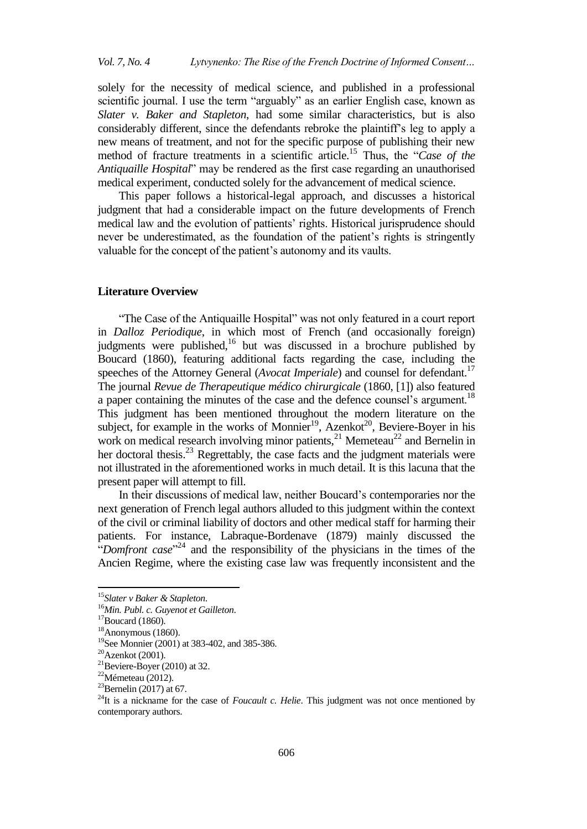solely for the necessity of medical science, and published in a professional scientific journal. I use the term "arguably" as an earlier English case, known as *Slater v. Baker and Stapleton*, had some similar characteristics, but is also considerably different, since the defendants rebroke the plaintiff's leg to apply a new means of treatment, and not for the specific purpose of publishing their new method of fracture treatments in a scientific article.<sup>15</sup> Thus, the "*Case of the Antiquaille Hospital*" may be rendered as the first case regarding an unauthorised medical experiment, conducted solely for the advancement of medical science.

This paper follows a historical-legal approach, and discusses a historical judgment that had a considerable impact on the future developments of French medical law and the evolution of pattients" rights. Historical jurisprudence should never be underestimated, as the foundation of the patient's rights is stringently valuable for the concept of the patient's autonomy and its vaults.

#### **Literature Overview**

"The Case of the Antiquaille Hospital" was not only featured in a court report in *Dalloz Periodique*, in which most of French (and occasionally foreign) judgments were published,<sup>16</sup> but was discussed in a brochure published by Boucard (1860), featuring additional facts regarding the case, including the speeches of the Attorney General (*Avocat Imperiale*) and counsel for defendant.<sup>17</sup> The journal *Revue de Therapeutique médico chirurgicale* (1860, [1]) also featured a paper containing the minutes of the case and the defence counsel's argument.<sup>18</sup> This judgment has been mentioned throughout the modern literature on the subject, for example in the works of Monnier<sup>19</sup>, Azenkot<sup>20</sup>, Beviere-Boyer in his work on medical research involving minor patients,  $2^1$  Memeteau<sup>22</sup> and Bernelin in her doctoral thesis.<sup>23</sup> Regrettably, the case facts and the judgment materials were not illustrated in the aforementioned works in much detail. It is this lacuna that the present paper will attempt to fill.

In their discussions of medical law, neither Boucard"s contemporaries nor the next generation of French legal authors alluded to this judgment within the context of the civil or criminal liability of doctors and other medical staff for harming their patients. For instance, Labraque-Bordenave (1879) mainly discussed the "*Domfront case*<sup>",24</sup> and the responsibility of the physicians in the times of the Ancien Regime, where the existing case law was frequently inconsistent and the

<sup>15</sup>*Slater v Baker & Stapleton*.

<sup>16</sup>*Min. Publ. c. Guyenot et Gailleton*.

 $17$ Boucard (1860).

 $18$ Anonymous (1860).

<sup>&</sup>lt;sup>19</sup>See Monnier (2001) at 383-402, and 385-386.

 $20$ Azenkot (2001).

<sup>&</sup>lt;sup>21</sup>Beviere-Boyer (2010) at 32.

<sup>22</sup>Mémeteau (2012).

 $^{23}$ Bernelin (2017) at 67.

<sup>&</sup>lt;sup>24</sup>It is a nickname for the case of *Foucault c. Helie*. This judgment was not once mentioned by contemporary authors.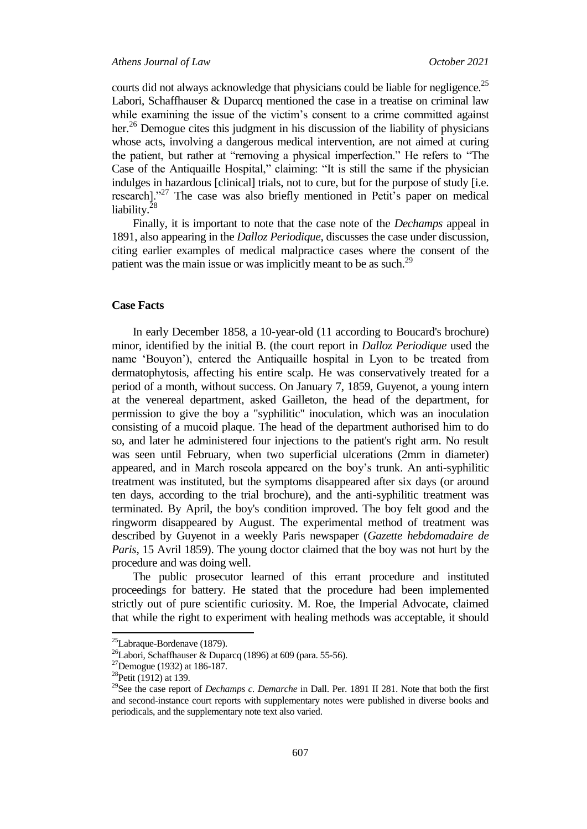#### *Athens Journal of Law October 2021*

courts did not always acknowledge that physicians could be liable for negligence.<sup>25</sup> Labori, Schaffhauser & Duparcq mentioned the case in a treatise on criminal law while examining the issue of the victim's consent to a crime committed against her.<sup>26</sup> Demogue cites this judgment in his discussion of the liability of physicians whose acts, involving a dangerous medical intervention, are not aimed at curing the patient, but rather at "removing a physical imperfection." He refers to "The Case of the Antiquaille Hospital," claiming: "It is still the same if the physician indulges in hazardous [clinical] trials, not to cure, but for the purpose of study [i.e. research]."<sup>27</sup> The case was also briefly mentioned in Petit's paper on medical liability.<sup>28</sup>

Finally, it is important to note that the case note of the *Dechamps* appeal in 1891, also appearing in the *Dalloz Periodique,* discusses the case under discussion, citing earlier examples of medical malpractice cases where the consent of the patient was the main issue or was implicitly meant to be as such.<sup>29</sup>

#### **Case Facts**

In early December 1858, a 10-year-old (11 according to Boucard's brochure) minor, identified by the initial B. (the court report in *Dalloz Periodique* used the name "Bouyon"), entered the Antiquaille hospital in Lyon to be treated from dermatophytosis, affecting his entire scalp. He was conservatively treated for a period of a month, without success. On January 7, 1859, Guyenot, a young intern at the venereal department, asked Gailleton, the head of the department, for permission to give the boy a "syphilitic" inoculation, which was an inoculation consisting of a mucoid plaque. The head of the department authorised him to do so, and later he administered four injections to the patient's right arm. No result was seen until February, when two superficial ulcerations (2mm in diameter) appeared, and in March roseola appeared on the boy"s trunk. An anti-syphilitic treatment was instituted, but the symptoms disappeared after six days (or around ten days, according to the trial brochure), and the anti-syphilitic treatment was terminated. By April, the boy's condition improved. The boy felt good and the ringworm disappeared by August. The experimental method of treatment was described by Guyenot in a weekly Paris newspaper (*Gazette hebdomadaire de Paris*, 15 Avril 1859). The young doctor claimed that the boy was not hurt by the procedure and was doing well.

The public prosecutor learned of this errant procedure and instituted proceedings for battery. He stated that the procedure had been implemented strictly out of pure scientific curiosity. M. Roe, the Imperial Advocate, claimed that while the right to experiment with healing methods was acceptable, it should

<sup>25</sup>Labraque-Bordenave (1879).

<sup>&</sup>lt;sup>26</sup>Labori, Schaffhauser & Duparcq (1896) at 609 (para. 55-56).

<sup>27</sup>Demogue (1932) at 186-187.

<sup>&</sup>lt;sup>28</sup>Petit (1912) at 139.

<sup>29</sup>See the case report of *Dechamps c. Demarche* in Dall. Per. 1891 II 281. Note that both the first and second-instance court reports with supplementary notes were published in diverse books and periodicals, and the supplementary note text also varied.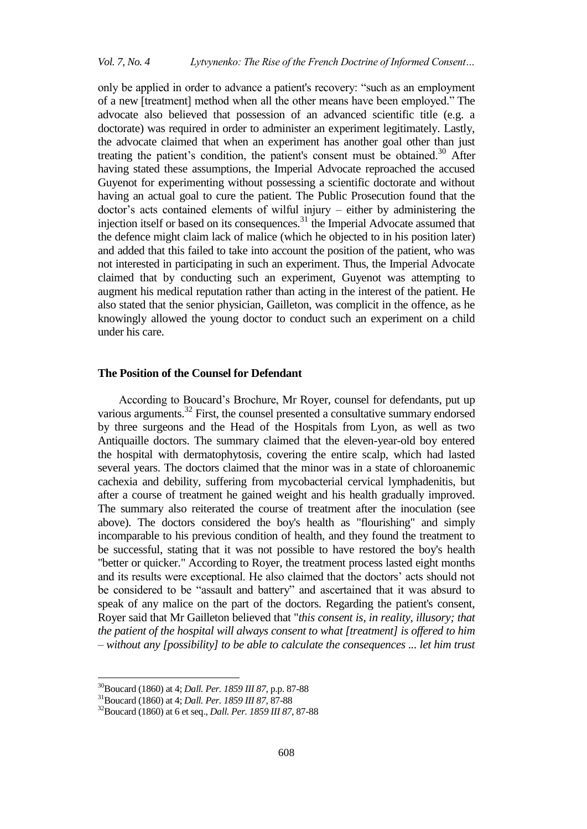only be applied in order to advance a patient's recovery: "such as an employment of a new [treatment] method when all the other means have been employed." The advocate also believed that possession of an advanced scientific title (e.g. a doctorate) was required in order to administer an experiment legitimately. Lastly, the advocate claimed that when an experiment has another goal other than just treating the patient's condition, the patient's consent must be obtained.<sup>30</sup> After having stated these assumptions, the Imperial Advocate reproached the accused Guyenot for experimenting without possessing a scientific doctorate and without having an actual goal to cure the patient. The Public Prosecution found that the doctor's acts contained elements of wilful injury – either by administering the injection itself or based on its consequences.<sup>31</sup> the Imperial Advocate assumed that the defence might claim lack of malice (which he objected to in his position later) and added that this failed to take into account the position of the patient, who was not interested in participating in such an experiment. Thus, the Imperial Advocate claimed that by conducting such an experiment, Guyenot was attempting to augment his medical reputation rather than acting in the interest of the patient. He also stated that the senior physician, Gailleton, was complicit in the offence, as he knowingly allowed the young doctor to conduct such an experiment on a child under his care.

#### **The Position of the Counsel for Defendant**

According to Boucard"s Brochure, Mr Royer, counsel for defendants, put up various arguments.<sup>32</sup> First, the counsel presented a consultative summary endorsed by three surgeons and the Head of the Hospitals from Lyon, as well as two Antiquaille doctors. The summary claimed that the eleven-year-old boy entered the hospital with dermatophytosis, covering the entire scalp, which had lasted several years. The doctors claimed that the minor was in a state of chloroanemic cachexia and debility, suffering from mycobacterial cervical lymphadenitis, but after a course of treatment he gained weight and his health gradually improved. The summary also reiterated the course of treatment after the inoculation (see above). The doctors considered the boy's health as "flourishing" and simply incomparable to his previous condition of health, and they found the treatment to be successful, stating that it was not possible to have restored the boy's health "better or quicker." According to Royer, the treatment process lasted eight months and its results were exceptional. He also claimed that the doctors" acts should not be considered to be "assault and battery" and ascertained that it was absurd to speak of any malice on the part of the doctors. Regarding the patient's consent, Royer said that Mr Gailleton believed that "*this consent is, in reality, illusory; that the patient of the hospital will always consent to what [treatment] is offered to him – without any [possibility] to be able to calculate the consequences ... let him trust* 

<sup>30</sup>Boucard (1860) at 4; *Dall. Per. 1859 III 87*, p.p. 87-88

<sup>31</sup>Boucard (1860) at 4; *Dall. Per. 1859 III 87*, 87-88

<sup>32</sup>Boucard (1860) at 6 et seq., *Dall. Per. 1859 III 87*, 87-88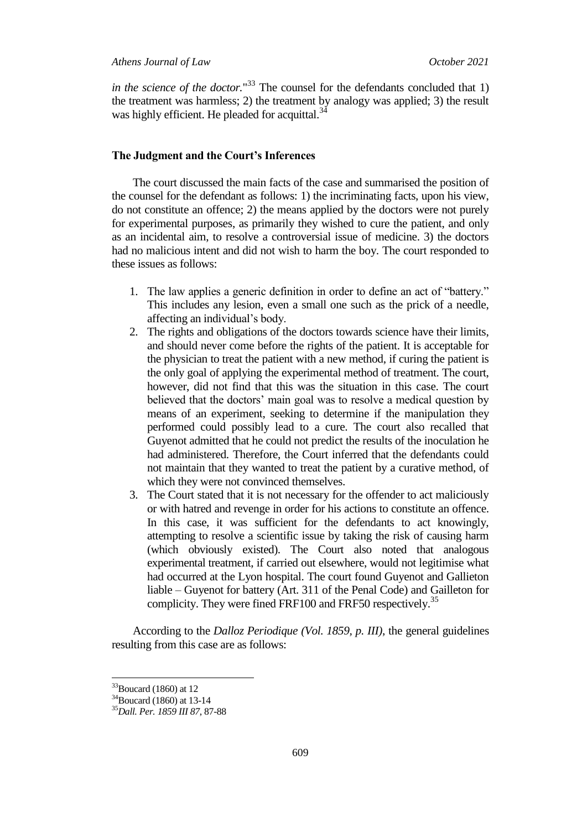*in the science of the doctor.*" <sup>33</sup> The counsel for the defendants concluded that 1) the treatment was harmless; 2) the treatment by analogy was applied; 3) the result was highly efficient. He pleaded for acquittal.<sup>34</sup>

#### **The Judgment and the Court's Inferences**

The court discussed the main facts of the case and summarised the position of the counsel for the defendant as follows: 1) the incriminating facts, upon his view, do not constitute an offence; 2) the means applied by the doctors were not purely for experimental purposes, as primarily they wished to cure the patient, and only as an incidental aim, to resolve a controversial issue of medicine. 3) the doctors had no malicious intent and did not wish to harm the boy. The court responded to these issues as follows:

- 1. The law applies a generic definition in order to define an act of "battery." This includes any lesion, even a small one such as the prick of a needle, affecting an individual"s body.
- 2. The rights and obligations of the doctors towards science have their limits, and should never come before the rights of the patient. It is acceptable for the physician to treat the patient with a new method, if curing the patient is the only goal of applying the experimental method of treatment. The court, however, did not find that this was the situation in this case. The court believed that the doctors' main goal was to resolve a medical question by means of an experiment, seeking to determine if the manipulation they performed could possibly lead to a cure. The court also recalled that Guyenot admitted that he could not predict the results of the inoculation he had administered. Therefore, the Court inferred that the defendants could not maintain that they wanted to treat the patient by a curative method, of which they were not convinced themselves.
- 3. The Court stated that it is not necessary for the offender to act maliciously or with hatred and revenge in order for his actions to constitute an offence. In this case, it was sufficient for the defendants to act knowingly, attempting to resolve a scientific issue by taking the risk of causing harm (which obviously existed). The Court also noted that analogous experimental treatment, if carried out elsewhere, would not legitimise what had occurred at the Lyon hospital. The court found Guyenot and Gallieton liable – Guyenot for battery (Art. 311 of the Penal Code) and Gailleton for complicity. They were fined FRF100 and FRF50 respectively.<sup>35</sup>

According to the *Dalloz Periodique (Vol. 1859, p. III)*, the general guidelines resulting from this case are as follows:

 $33$ Boucard (1860) at 12

<sup>&</sup>lt;sup>34</sup>Boucard (1860) at 13-14

<sup>35</sup>*Dall. Per. 1859 III 87*, 87-88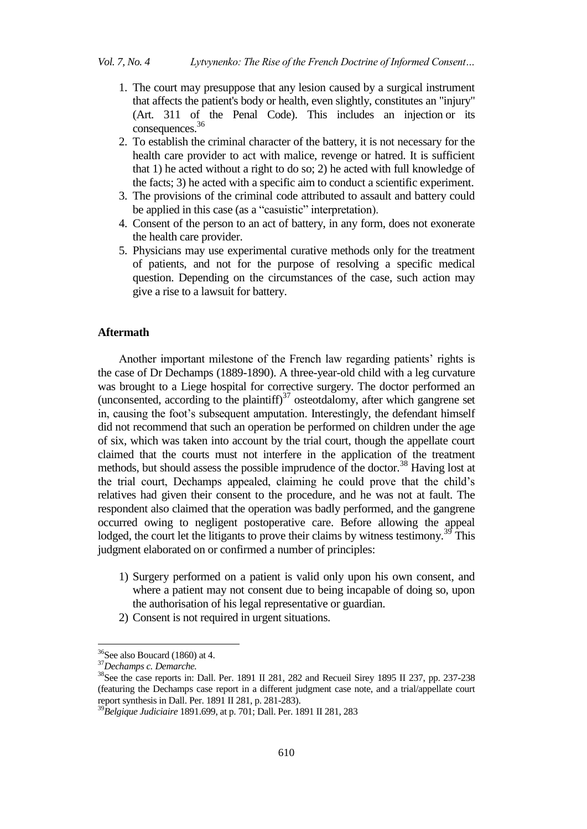- 1. The court may presuppose that any lesion caused by a surgical instrument that affects the patient's body or health, even slightly, constitutes an "injury" (Art. 311 of the Penal Code). This includes an injection or its consequences.<sup>36</sup>
- 2. To establish the criminal character of the battery, it is not necessary for the health care provider to act with malice, revenge or hatred. It is sufficient that 1) he acted without a right to do so; 2) he acted with full knowledge of the facts; 3) he acted with a specific aim to conduct a scientific experiment.
- 3. The provisions of the criminal code attributed to assault and battery could be applied in this case (as a "casuistic" interpretation).
- 4. Consent of the person to an act of battery, in any form, does not exonerate the health care provider.
- 5. Physicians may use experimental curative methods only for the treatment of patients, and not for the purpose of resolving a specific medical question. Depending on the circumstances of the case, such action may give a rise to a lawsuit for battery.

#### **Aftermath**

Another important milestone of the French law regarding patients' rights is the case of Dr Dechamps (1889-1890). A three-year-old child with a leg curvature was brought to a Liege hospital for corrective surgery. The doctor performed an (unconsented, according to the plaintiff) $37$  osteotdalomy, after which gangrene set in, causing the foot's subsequent amputation. Interestingly, the defendant himself did not recommend that such an operation be performed on children under the age of six, which was taken into account by the trial court, though the appellate court claimed that the courts must not interfere in the application of the treatment methods, but should assess the possible imprudence of the doctor.<sup>38</sup> Having lost at the trial court, Dechamps appealed, claiming he could prove that the child"s relatives had given their consent to the procedure, and he was not at fault. The respondent also claimed that the operation was badly performed, and the gangrene occurred owing to negligent postoperative care. Before allowing the appeal lodged, the court let the litigants to prove their claims by witness testimony.<sup>39</sup> This judgment elaborated on or confirmed a number of principles:

- 1) Surgery performed on a patient is valid only upon his own consent, and where a patient may not consent due to being incapable of doing so, upon the authorisation of his legal representative or guardian.
- 2) Consent is not required in urgent situations.

 $36$ See also Boucard (1860) at 4.

<sup>37</sup>*Dechamps c. Demarche.*

<sup>&</sup>lt;sup>38</sup>See the case reports in: Dall. Per. 1891 II 281, 282 and Recueil Sirey 1895 II 237, pp. 237-238 (featuring the Dechamps case report in a different judgment case note, and a trial/appellate court report synthesis in Dall. Per. 1891 II 281, p. 281-283).

<sup>39</sup>*Belgique Judiciaire* 1891.699, at p. 701; Dall. Per. 1891 II 281, 283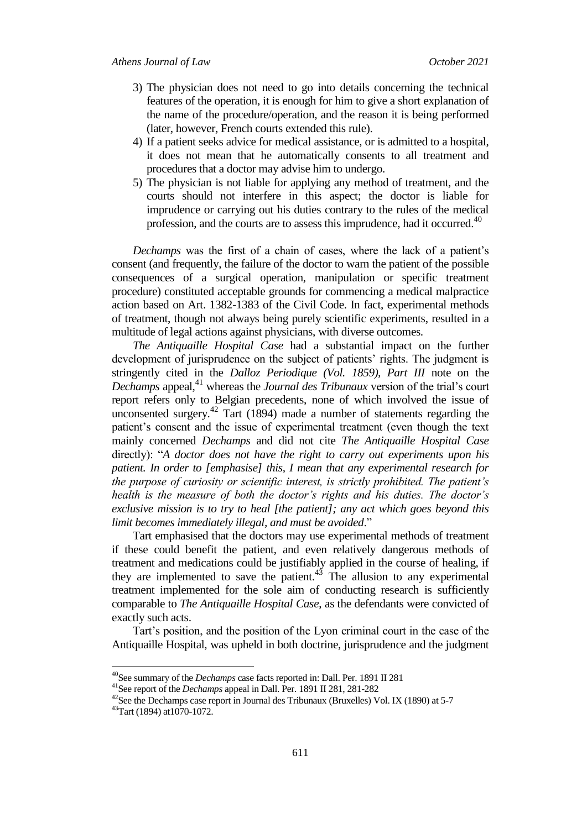- 3) The physician does not need to go into details concerning the technical features of the operation, it is enough for him to give a short explanation of the name of the procedure/operation, and the reason it is being performed (later, however, French courts extended this rule).
- 4) If a patient seeks advice for medical assistance, or is admitted to a hospital, it does not mean that he automatically consents to all treatment and procedures that a doctor may advise him to undergo.
- 5) The physician is not liable for applying any method of treatment, and the courts should not interfere in this aspect; the doctor is liable for imprudence or carrying out his duties contrary to the rules of the medical profession, and the courts are to assess this imprudence, had it occurred.<sup>40</sup>

*Dechamps* was the first of a chain of cases, where the lack of a patient's consent (and frequently, the failure of the doctor to warn the patient of the possible consequences of a surgical operation, manipulation or specific treatment procedure) constituted acceptable grounds for commencing a medical malpractice action based on Art. 1382-1383 of the Civil Code. In fact, experimental methods of treatment, though not always being purely scientific experiments, resulted in a multitude of legal actions against physicians, with diverse outcomes.

*The Antiquaille Hospital Case* had a substantial impact on the further development of jurisprudence on the subject of patients" rights. The judgment is stringently cited in the *Dalloz Periodique (Vol. 1859), Part III* note on the *Dechamps* appeal,<sup>41</sup> whereas the *Journal des Tribunaux* version of the trial's court report refers only to Belgian precedents, none of which involved the issue of unconsented surgery.<sup>42</sup> Tart (1894) made a number of statements regarding the patient"s consent and the issue of experimental treatment (even though the text mainly concerned *Dechamps* and did not cite *The Antiquaille Hospital Case* directly): "*A doctor does not have the right to carry out experiments upon his patient. In order to [emphasise] this, I mean that any experimental research for the purpose of curiosity or scientific interest, is strictly prohibited. The patient's health is the measure of both the doctor's rights and his duties. The doctor's exclusive mission is to try to heal [the patient]; any act which goes beyond this limit becomes immediately illegal, and must be avoided*."

Tart emphasised that the doctors may use experimental methods of treatment if these could benefit the patient, and even relatively dangerous methods of treatment and medications could be justifiably applied in the course of healing, if they are implemented to save the patient.<sup>43</sup> The allusion to any experimental treatment implemented for the sole aim of conducting research is sufficiently comparable to *The Antiquaille Hospital Case*, as the defendants were convicted of exactly such acts.

Tart"s position, and the position of the Lyon criminal court in the case of the Antiquaille Hospital, was upheld in both doctrine, jurisprudence and the judgment

<sup>40</sup>See summary of the *Dechamps* case facts reported in: Dall. Per. 1891 II 281

<sup>41</sup>See report of the *Dechamps* appeal in Dall. Per. 1891 II 281, 281-282

<sup>&</sup>lt;sup>42</sup>See the Dechamps case report in Journal des Tribunaux (Bruxelles) Vol. IX (1890) at 5-7

<sup>43</sup>Tart (1894) at1070-1072.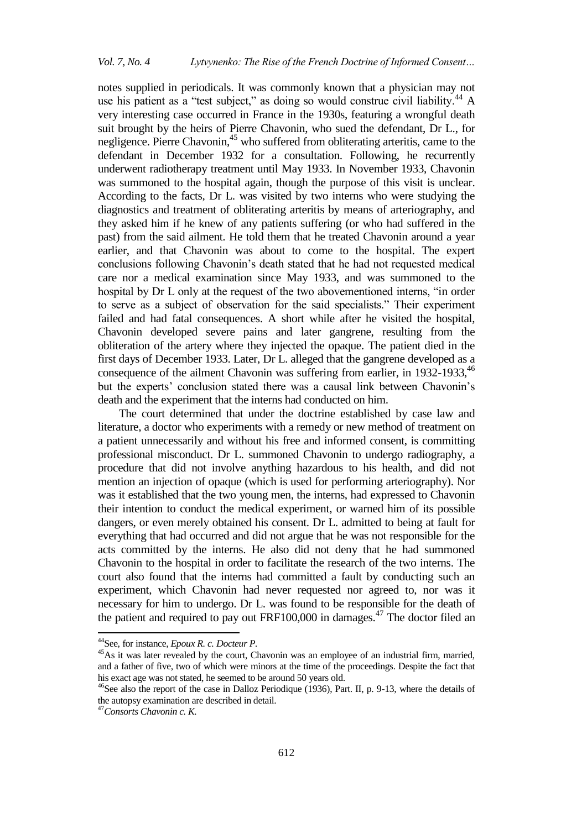notes supplied in periodicals. It was commonly known that a physician may not use his patient as a "test subject," as doing so would construe civil liability. $^{44}$  A very interesting case occurred in France in the 1930s, featuring a wrongful death suit brought by the heirs of Pierre Chavonin, who sued the defendant, Dr L., for negligence. Pierre Chavonin,<sup>45</sup> who suffered from obliterating arteritis, came to the defendant in December 1932 for a consultation. Following, he recurrently underwent radiotherapy treatment until May 1933. In November 1933, Chavonin was summoned to the hospital again, though the purpose of this visit is unclear. According to the facts, Dr L. was visited by two interns who were studying the diagnostics and treatment of obliterating arteritis by means of arteriography, and they asked him if he knew of any patients suffering (or who had suffered in the past) from the said ailment. He told them that he treated Chavonin around a year earlier, and that Chavonin was about to come to the hospital. The expert conclusions following Chavonin"s death stated that he had not requested medical care nor a medical examination since May 1933, and was summoned to the hospital by Dr L only at the request of the two abovementioned interns, "in order to serve as a subject of observation for the said specialists." Their experiment failed and had fatal consequences. A short while after he visited the hospital, Chavonin developed severe pains and later gangrene, resulting from the obliteration of the artery where they injected the opaque. The patient died in the first days of December 1933. Later, Dr L. alleged that the gangrene developed as a consequence of the ailment Chavonin was suffering from earlier, in 1932-1933, <sup>46</sup> but the experts' conclusion stated there was a causal link between Chavonin's death and the experiment that the interns had conducted on him.

The court determined that under the doctrine established by case law and literature, a doctor who experiments with a remedy or new method of treatment on a patient unnecessarily and without his free and informed consent, is committing professional misconduct. Dr L. summoned Chavonin to undergo radiography, a procedure that did not involve anything hazardous to his health, and did not mention an injection of opaque (which is used for performing arteriography). Nor was it established that the two young men, the interns, had expressed to Chavonin their intention to conduct the medical experiment, or warned him of its possible dangers, or even merely obtained his consent. Dr L. admitted to being at fault for everything that had occurred and did not argue that he was not responsible for the acts committed by the interns. He also did not deny that he had summoned Chavonin to the hospital in order to facilitate the research of the two interns. The court also found that the interns had committed a fault by conducting such an experiment, which Chavonin had never requested nor agreed to, nor was it necessary for him to undergo. Dr L. was found to be responsible for the death of the patient and required to pay out  $FRF100,000$  in damages.<sup>47</sup> The doctor filed an

1

<sup>44</sup>See, for instance, *Epoux R. c. Docteur P.*

<sup>&</sup>lt;sup>45</sup>As it was later revealed by the court, Chavonin was an employee of an industrial firm, married, and a father of five, two of which were minors at the time of the proceedings. Despite the fact that his exact age was not stated, he seemed to be around 50 years old.

<sup>&</sup>lt;sup>46</sup>See also the report of the case in Dalloz Periodique (1936), Part. II, p. 9-13, where the details of the autopsy examination are described in detail.

<sup>47</sup>*Consorts Chavonin c. K.*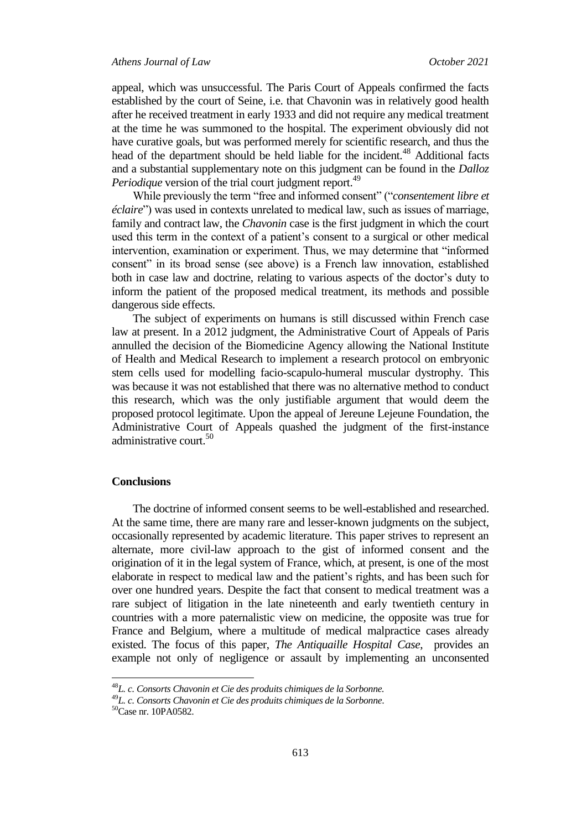appeal, which was unsuccessful. The Paris Court of Appeals confirmed the facts established by the court of Seine, i.e. that Chavonin was in relatively good health after he received treatment in early 1933 and did not require any medical treatment at the time he was summoned to the hospital. The experiment obviously did not have curative goals, but was performed merely for scientific research, and thus the head of the department should be held liable for the incident.<sup>48</sup> Additional facts and a substantial supplementary note on this judgment can be found in the *Dalloz Periodique* version of the trial court judgment report.<sup>49</sup>

While previously the term "free and informed consent" ("*consentement libre et éclaire*") was used in contexts unrelated to medical law, such as issues of marriage, family and contract law, the *Chavonin* case is the first judgment in which the court used this term in the context of a patient"s consent to a surgical or other medical intervention, examination or experiment. Thus, we may determine that "informed consent" in its broad sense (see above) is a French law innovation, established both in case law and doctrine, relating to various aspects of the doctor's duty to inform the patient of the proposed medical treatment, its methods and possible dangerous side effects.

The subject of experiments on humans is still discussed within French case law at present. In a 2012 judgment, the Administrative Court of Appeals of Paris annulled the decision of the Biomedicine Agency allowing the National Institute of Health and Medical Research to implement a research protocol on embryonic stem cells used for modelling facio-scapulo-humeral muscular dystrophy. This was because it was not established that there was no alternative method to conduct this research, which was the only justifiable argument that would deem the proposed protocol legitimate. Upon the appeal of Jereune Lejeune Foundation, the Administrative Court of Appeals quashed the judgment of the first-instance administrative court.<sup>50</sup>

#### **Conclusions**

The doctrine of informed consent seems to be well-established and researched. At the same time, there are many rare and lesser-known judgments on the subject, occasionally represented by academic literature. This paper strives to represent an alternate, more civil-law approach to the gist of informed consent and the origination of it in the legal system of France, which, at present, is one of the most elaborate in respect to medical law and the patient"s rights, and has been such for over one hundred years. Despite the fact that consent to medical treatment was a rare subject of litigation in the late nineteenth and early twentieth century in countries with a more paternalistic view on medicine, the opposite was true for France and Belgium, where a multitude of medical malpractice cases already existed. The focus of this paper, *The Antiquaille Hospital Case*, provides an example not only of negligence or assault by implementing an unconsented

<sup>48</sup>*L. c. Consorts Chavonin et Cie des produits chimiques de la Sorbonne.*

<sup>49</sup>*L. c. Consorts Chavonin et Cie des produits chimiques de la Sorbonne*.

<sup>50</sup>Case nr. 10PA0582.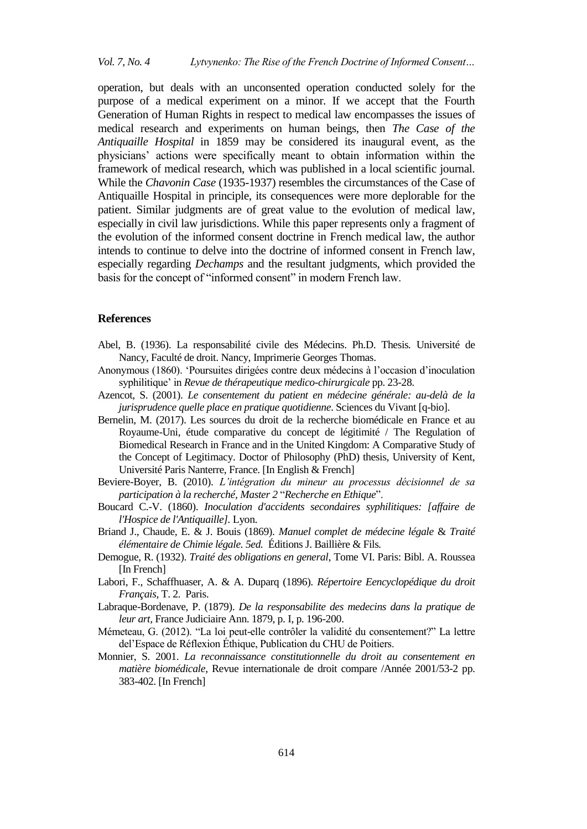operation, but deals with an unconsented operation conducted solely for the purpose of a medical experiment on a minor. If we accept that the Fourth Generation of Human Rights in respect to medical law encompasses the issues of medical research and experiments on human beings, then *The Case of the Antiquaille Hospital* in 1859 may be considered its inaugural event, as the physicians" actions were specifically meant to obtain information within the framework of medical research, which was published in a local scientific journal. While the *Chavonin Case* (1935-1937) resembles the circumstances of the Case of Antiquaille Hospital in principle, its consequences were more deplorable for the patient. Similar judgments are of great value to the evolution of medical law, especially in civil law jurisdictions. While this paper represents only a fragment of the evolution of the informed consent doctrine in French medical law, the author intends to continue to delve into the doctrine of informed consent in French law, especially regarding *Dechamps* and the resultant judgments, which provided the basis for the concept of "informed consent" in modern French law.

#### **References**

- Abel, B. (1936). La responsabilité civile des Médecins. Ph.D. Thesis*.* Université de Nancy, Faculté de droit. Nancy, Imprimerie Georges Thomas.
- Anonymous (1860). "Poursuites dirigées contre deux médecins à l"occasion d"inoculation syphilitique' in *Revue de thérapeutique medico-chirurgicale* pp. 23-28.
- Azencot, S. (2001). *Le consentement du patient en médecine générale: au-delà de la jurisprudence quelle place en pratique quotidienne*. Sciences du Vivant [q-bio].
- Bernelin, M. (2017). Les sources du droit de la recherche biomédicale en France et au Royaume-Uni, étude comparative du concept de légitimité / The Regulation of Biomedical Research in France and in the United Kingdom: A Comparative Study of the Concept of Legitimacy. Doctor of Philosophy (PhD) thesis, University of Kent, Université Paris Nanterre, France. [In English & French]
- Beviere-Boyer, B. (2010). *L'intégration du mineur au processus décisionnel de sa participation à la recherché, Master 2* "*Recherche en Ethique*".
- Boucard C.-V. (1860). *Inoculation d'accidents secondaires syphilitiques: [affaire de l'Hospice de l'Antiquaille].* Lyon.
- Briand J., Chaude, E. & J. Bouis (1869). *Manuel complet de médecine légale* & *Traité élémentaire de Chimie légale. 5ed.* Éditions J. Baillière & Fils*.*
- Demogue, R. (1932). *Traité des obligations en general*, Tome VI. Paris: Bibl. A. Roussea [In French]
- Labori, F., Schaffhuaser, A. & A. Duparq (1896). *Répertoire Eencyclopédique du droit Français,* T. 2. Paris.
- Labraque-Bordenave, P. (1879). *De la responsabilite des medecins dans la pratique de leur art,* France Judiciaire Ann. 1879, p. I, p. 196-200.
- Mémeteau, G. (2012). "La loi peut-elle contrôler la validité du consentement?" La lettre del"Espace de Réflexion Éthique, Publication du CHU de Poitiers.
- Monnier, S. 2001. *La reconnaissance constitutionnelle du droit au consentement en matière biomédicale*, Revue internationale de droit compare /Année 2001/53-2 pp. 383-402. [In French]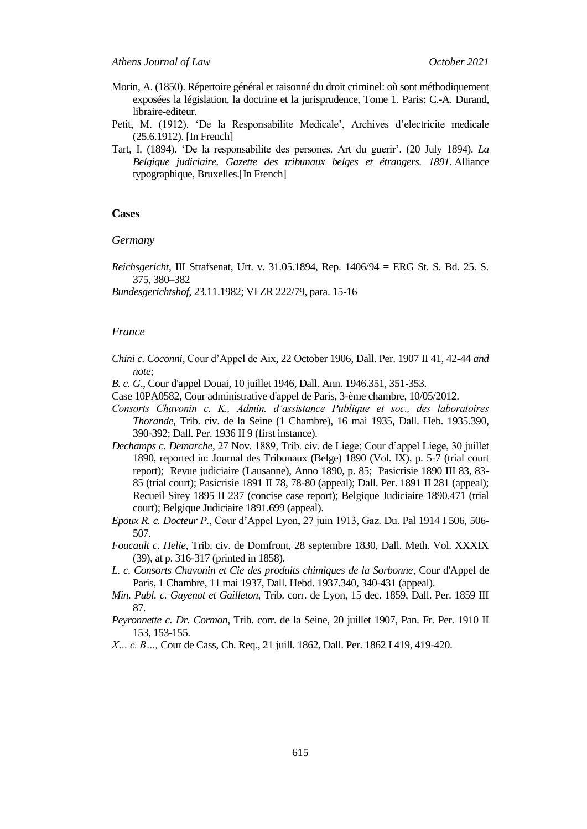- Morin, A. (1850). Répertoire général et raisonné du droit criminel: où sont méthodiquement exposées la législation, la doctrine et la jurisprudence, Tome 1. Paris: C.-A. Durand, libraire-editeur.
- Petit, M. (1912). 'De la Responsabilite Medicale', Archives d'electricite medicale (25.6.1912). [In French]
- Tart, I. (1894). "De la responsabilite des persones. Art du guerir". (20 July 1894). *La Belgique judiciaire. Gazette des tribunaux belges et étrangers. 1891.* Alliance typographique, Bruxelles.[In French]

#### **Cases**

*Germany*

*Reichsgericht*, III Strafsenat, Urt. v. 31.05.1894, Rep. 1406/94 = ERG St. S. Bd. 25. S. 375, 380–382

*Bundesgerichtshof*, 23.11.1982; VI ZR 222/79, para. 15-16

#### *France*

*Chini c. Coconni*, Cour d"Appel de Aix, 22 October 1906*,* Dall. Per. 1907 II 41, 42-44 *and note*;

*B. c. G*., Cour d'appel Douai, 10 juillet 1946, Dall. Ann. 1946.351, 351-353.

- Case 10PA0582, Cour administrative d'appel de Paris, 3-ème chambre, 10/05/2012.
- *Consorts Chavonin c. K., Admin. d'assistance Publique et soc., des laboratoires Thorande*, Trib. civ. de la Seine (1 Chambre), 16 mai 1935, Dall. Heb. 1935.390, 390-392; Dall. Per. 1936 II 9 (first instance).
- *Dechamps c. Demarche*, 27 Nov. 1889, Trib. civ. de Liege; Cour d"appel Liege, 30 juillet 1890, reported in: Journal des Tribunaux (Belge) 1890 (Vol. IX), p. 5-7 (trial court report); Revue judiciaire (Lausanne), Anno 1890, p. 85; Pasicrisie 1890 III 83, 83- 85 (trial court); Pasicrisie 1891 II 78, 78-80 (appeal); Dall. Per. 1891 II 281 (appeal); Recueil Sirey 1895 II 237 (concise case report); Belgique Judiciaire 1890.471 (trial court); Belgique Judiciaire 1891.699 (appeal).
- *Epoux R. c. Docteur P.*, Cour d"Appel Lyon, 27 juin 1913, Gaz. Du. Pal 1914 I 506, 506- 507.
- *Foucault c. Helie*, Trib. civ. de Domfront, 28 septembre 1830, Dall. Meth. Vol. XXXIX (39), at p. 316-317 (printed in 1858).
- *L. c. Consorts Chavonin et Cie des produits chimiques de la Sorbonne*, Cour d'Appel de Paris, 1 Chambre, 11 mai 1937, Dall. Hebd. 1937.340, 340-431 (appeal).
- *Min. Publ. c. Guyenot et Gailleton*, Trib. corr. de Lyon, 15 dec. 1859, Dall. Per. 1859 III 87.
- *Peyronnette c. Dr. Cormon*, Trib. corr. de la Seine, 20 juillet 1907, Pan. Fr. Per. 1910 II 153, 153-155.
- *X… c. B…,* Cour de Cass, Ch. Req., 21 juill. 1862, Dall. Per. 1862 I 419, 419-420.